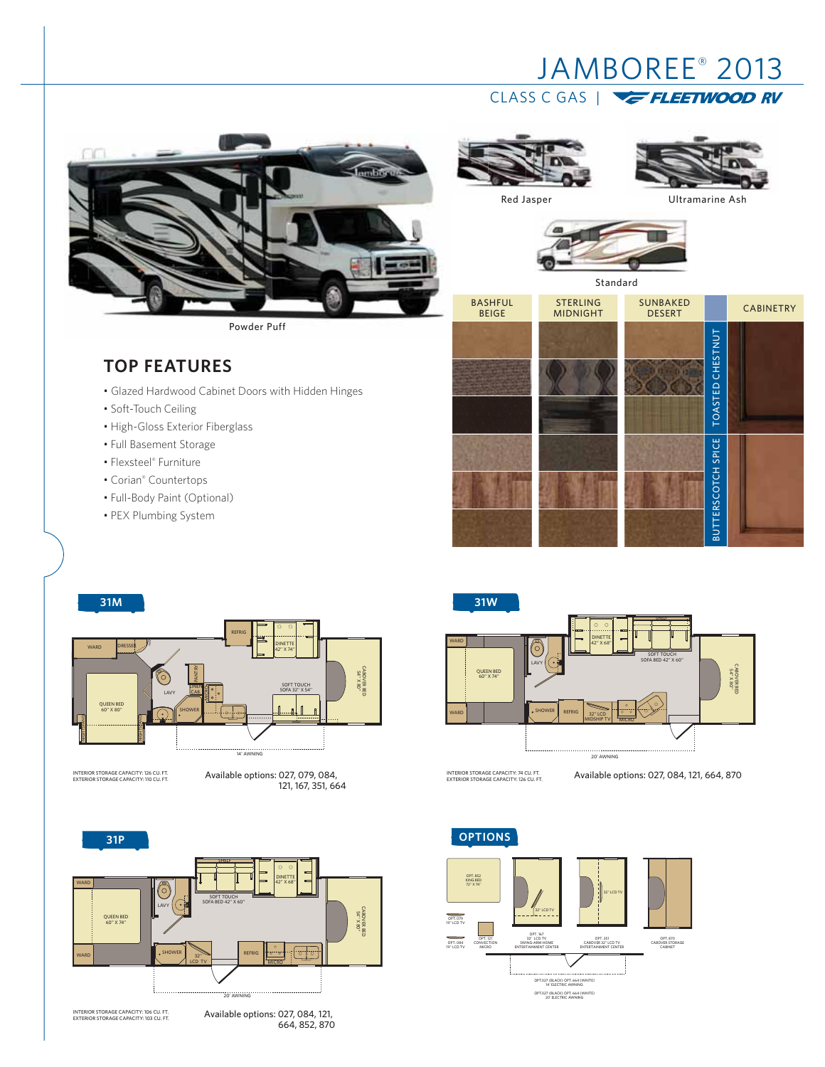# JAMBOREE® 2013 CLASS C GAS | **E FLEETWOOD RV**



Powder Puff

## **TOP FEATURES**

- Glazed Hardwood Cabinet Doors with Hidden Hinges
- Soft-Touch Ceiling
- High-Gloss Exterior Fiberglass
- Full Basement Storage
- Flexsteel® Furniture
- Corian® Countertops
- Full-Body Paint (Optional)
- PEX Plumbing System



Red Jasper **Vancouver Ultramarine Ash** 



INTERIOR STORAGE CAPACITY: 126 CU. FT. EXTERIOR STORAGE CAPACITY: 110 CU. FT.

Available options: 027, 079, 084, 121, 167, 351, 664





Available options: 027, 084, 121, 664, 852, 870



INTERIOR STORAGE CAPACITY: 74 CU. FT.

Available options: 027, 084, 121, 664, 870

OPT. 167 32" LCD TV SWING-ARM HOME ENTERTAINMENT CENTER 32" LCD TV OPT. 121 CONVECTION MICRO OPT. 084 19'' LCD TV OPT. 870 CABOVER STORAGE CABINET OPT. 079 19'' LCD TV OPT. 351 CABOVER 32" LCD TV ENTERTAINMENT CENTER 32" LCD TV OPT.027 (BLACK) OPT. 664 (WHITE) 14' ELECTRIC AWNING OPT.027 (BLACK) OPT. 664 (WHITE) 20' ELECTRIC AWNING OPT. 852 KING BED 72" X 74"